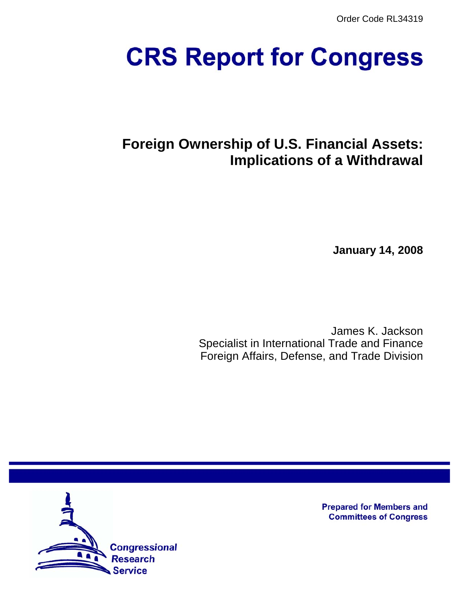Order Code RL34319

# **CRS Report for Congress**

# **Foreign Ownership of U.S. Financial Assets: Implications of a Withdrawal**

**January 14, 2008**

James K. Jackson Specialist in International Trade and Finance Foreign Affairs, Defense, and Trade Division



**Prepared for Members and Committees of Congress**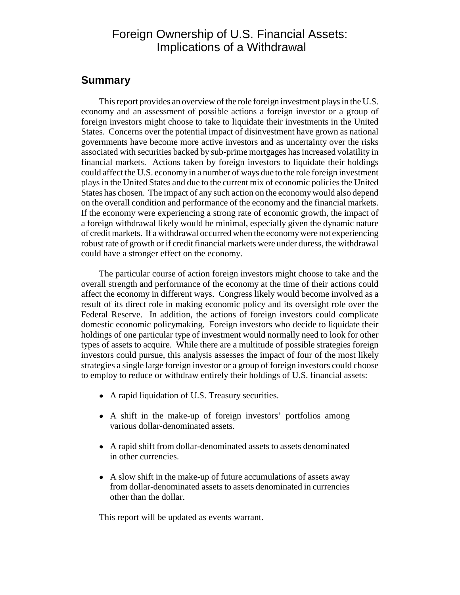### Foreign Ownership of U.S. Financial Assets: Implications of a Withdrawal

### **Summary**

This report provides an overview of the role foreign investment plays in the U.S. economy and an assessment of possible actions a foreign investor or a group of foreign investors might choose to take to liquidate their investments in the United States. Concerns over the potential impact of disinvestment have grown as national governments have become more active investors and as uncertainty over the risks associated with securities backed by sub-prime mortgages has increased volatility in financial markets. Actions taken by foreign investors to liquidate their holdings could affect the U.S. economy in a number of ways due to the role foreign investment plays in the United States and due to the current mix of economic policies the United States has chosen. The impact of any such action on the economy would also depend on the overall condition and performance of the economy and the financial markets. If the economy were experiencing a strong rate of economic growth, the impact of a foreign withdrawal likely would be minimal, especially given the dynamic nature of credit markets. If a withdrawal occurred when the economy were not experiencing robust rate of growth or if credit financial markets were under duress, the withdrawal could have a stronger effect on the economy.

The particular course of action foreign investors might choose to take and the overall strength and performance of the economy at the time of their actions could affect the economy in different ways. Congress likely would become involved as a result of its direct role in making economic policy and its oversight role over the Federal Reserve. In addition, the actions of foreign investors could complicate domestic economic policymaking. Foreign investors who decide to liquidate their holdings of one particular type of investment would normally need to look for other types of assets to acquire. While there are a multitude of possible strategies foreign investors could pursue, this analysis assesses the impact of four of the most likely strategies a single large foreign investor or a group of foreign investors could choose to employ to reduce or withdraw entirely their holdings of U.S. financial assets:

- A rapid liquidation of U.S. Treasury securities.
- ! A shift in the make-up of foreign investors' portfolios among various dollar-denominated assets.
- ! A rapid shift from dollar-denominated assets to assets denominated in other currencies.
- A slow shift in the make-up of future accumulations of assets away from dollar-denominated assets to assets denominated in currencies other than the dollar.

This report will be updated as events warrant.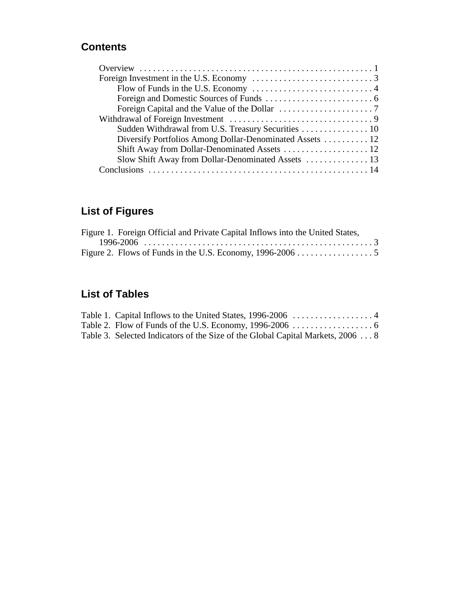### **Contents**

| Sudden Withdrawal from U.S. Treasury Securities  10      |
|----------------------------------------------------------|
| Diversify Portfolios Among Dollar-Denominated Assets  12 |
|                                                          |
|                                                          |
|                                                          |

# **List of Figures**

| Figure 1. Foreign Official and Private Capital Inflows into the United States, |  |
|--------------------------------------------------------------------------------|--|
|                                                                                |  |
|                                                                                |  |

## **List of Tables**

| Table 3. Selected Indicators of the Size of the Global Capital Markets, 2006  8 |  |
|---------------------------------------------------------------------------------|--|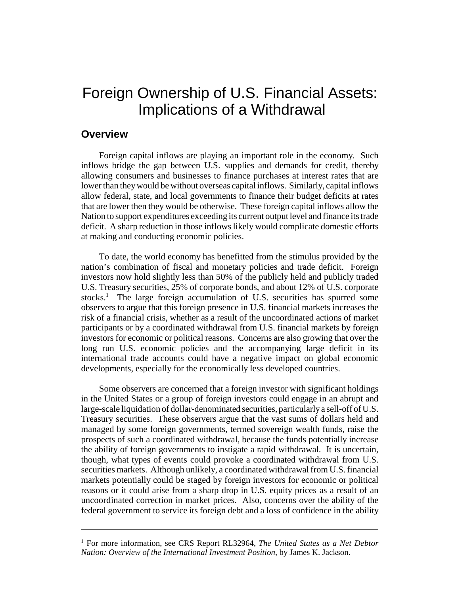# Foreign Ownership of U.S. Financial Assets: Implications of a Withdrawal

### **Overview**

Foreign capital inflows are playing an important role in the economy. Such inflows bridge the gap between U.S. supplies and demands for credit, thereby allowing consumers and businesses to finance purchases at interest rates that are lower than they would be without overseas capital inflows. Similarly, capital inflows allow federal, state, and local governments to finance their budget deficits at rates that are lower then they would be otherwise. These foreign capital inflows allow the Nation to support expenditures exceeding its current output level and finance its trade deficit. A sharp reduction in those inflows likely would complicate domestic efforts at making and conducting economic policies.

To date, the world economy has benefitted from the stimulus provided by the nation's combination of fiscal and monetary policies and trade deficit. Foreign investors now hold slightly less than 50% of the publicly held and publicly traded U.S. Treasury securities, 25% of corporate bonds, and about 12% of U.S. corporate stocks.<sup>1</sup> The large foreign accumulation of U.S. securities has spurred some observers to argue that this foreign presence in U.S. financial markets increases the risk of a financial crisis, whether as a result of the uncoordinated actions of market participants or by a coordinated withdrawal from U.S. financial markets by foreign investors for economic or political reasons. Concerns are also growing that over the long run U.S. economic policies and the accompanying large deficit in its international trade accounts could have a negative impact on global economic developments, especially for the economically less developed countries.

Some observers are concerned that a foreign investor with significant holdings in the United States or a group of foreign investors could engage in an abrupt and large-scale liquidation of dollar-denominated securities, particularly a sell-off of U.S. Treasury securities. These observers argue that the vast sums of dollars held and managed by some foreign governments, termed sovereign wealth funds, raise the prospects of such a coordinated withdrawal, because the funds potentially increase the ability of foreign governments to instigate a rapid withdrawal. It is uncertain, though, what types of events could provoke a coordinated withdrawal from U.S. securities markets. Although unlikely, a coordinated withdrawal from U.S. financial markets potentially could be staged by foreign investors for economic or political reasons or it could arise from a sharp drop in U.S. equity prices as a result of an uncoordinated correction in market prices. Also, concerns over the ability of the federal government to service its foreign debt and a loss of confidence in the ability

<sup>&</sup>lt;sup>1</sup> For more information, see CRS Report RL32964, *The United States as a Net Debtor Nation: Overview of the International Investment Position*, by James K. Jackson.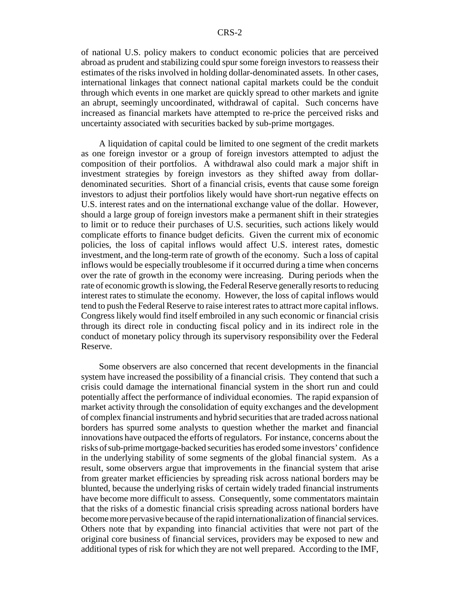of national U.S. policy makers to conduct economic policies that are perceived abroad as prudent and stabilizing could spur some foreign investors to reassess their estimates of the risks involved in holding dollar-denominated assets. In other cases, international linkages that connect national capital markets could be the conduit through which events in one market are quickly spread to other markets and ignite an abrupt, seemingly uncoordinated, withdrawal of capital. Such concerns have increased as financial markets have attempted to re-price the perceived risks and uncertainty associated with securities backed by sub-prime mortgages.

A liquidation of capital could be limited to one segment of the credit markets as one foreign investor or a group of foreign investors attempted to adjust the composition of their portfolios. A withdrawal also could mark a major shift in investment strategies by foreign investors as they shifted away from dollardenominated securities. Short of a financial crisis, events that cause some foreign investors to adjust their portfolios likely would have short-run negative effects on U.S. interest rates and on the international exchange value of the dollar. However, should a large group of foreign investors make a permanent shift in their strategies to limit or to reduce their purchases of U.S. securities, such actions likely would complicate efforts to finance budget deficits. Given the current mix of economic policies, the loss of capital inflows would affect U.S. interest rates, domestic investment, and the long-term rate of growth of the economy. Such a loss of capital inflows would be especially troublesome if it occurred during a time when concerns over the rate of growth in the economy were increasing. During periods when the rate of economic growth is slowing, the Federal Reserve generally resorts to reducing interest rates to stimulate the economy. However, the loss of capital inflows would tend to push the Federal Reserve to raise interest rates to attract more capital inflows. Congress likely would find itself embroiled in any such economic or financial crisis through its direct role in conducting fiscal policy and in its indirect role in the conduct of monetary policy through its supervisory responsibility over the Federal Reserve.

Some observers are also concerned that recent developments in the financial system have increased the possibility of a financial crisis. They contend that such a crisis could damage the international financial system in the short run and could potentially affect the performance of individual economies. The rapid expansion of market activity through the consolidation of equity exchanges and the development of complex financial instruments and hybrid securities that are traded across national borders has spurred some analysts to question whether the market and financial innovations have outpaced the efforts of regulators. For instance, concerns about the risks of sub-prime mortgage-backed securities has eroded some investors' confidence in the underlying stability of some segments of the global financial system. As a result, some observers argue that improvements in the financial system that arise from greater market efficiencies by spreading risk across national borders may be blunted, because the underlying risks of certain widely traded financial instruments have become more difficult to assess. Consequently, some commentators maintain that the risks of a domestic financial crisis spreading across national borders have become more pervasive because of the rapid internationalization of financial services. Others note that by expanding into financial activities that were not part of the original core business of financial services, providers may be exposed to new and additional types of risk for which they are not well prepared. According to the IMF,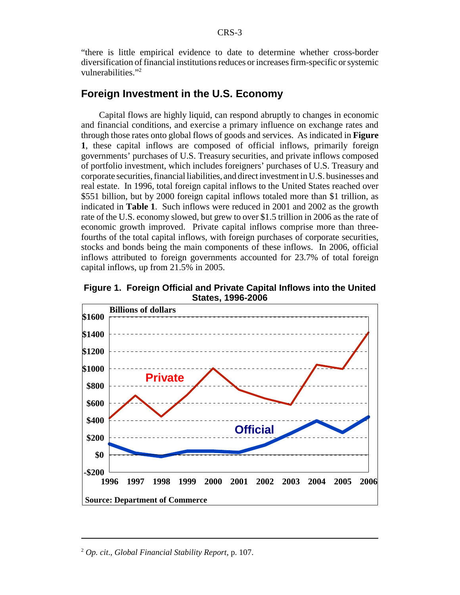"there is little empirical evidence to date to determine whether cross-border diversification of financial institutions reduces or increases firm-specific or systemic vulnerabilities."<sup>2</sup>

### **Foreign Investment in the U.S. Economy**

Capital flows are highly liquid, can respond abruptly to changes in economic and financial conditions, and exercise a primary influence on exchange rates and through those rates onto global flows of goods and services. As indicated in **Figure 1**, these capital inflows are composed of official inflows, primarily foreign governments' purchases of U.S. Treasury securities, and private inflows composed of portfolio investment, which includes foreigners' purchases of U.S. Treasury and corporate securities, financial liabilities, and direct investment in U.S. businesses and real estate. In 1996, total foreign capital inflows to the United States reached over \$551 billion, but by 2000 foreign capital inflows totaled more than \$1 trillion, as indicated in **Table 1**. Such inflows were reduced in 2001 and 2002 as the growth rate of the U.S. economy slowed, but grew to over \$1.5 trillion in 2006 as the rate of economic growth improved. Private capital inflows comprise more than threefourths of the total capital inflows, with foreign purchases of corporate securities, stocks and bonds being the main components of these inflows. In 2006, official inflows attributed to foreign governments accounted for 23.7% of total foreign capital inflows, up from 21.5% in 2005.



**Figure 1. Foreign Official and Private Capital Inflows into the United States, 1996-2006**

<sup>2</sup> *Op. cit*., *Global Financial Stability Report*, p. 107.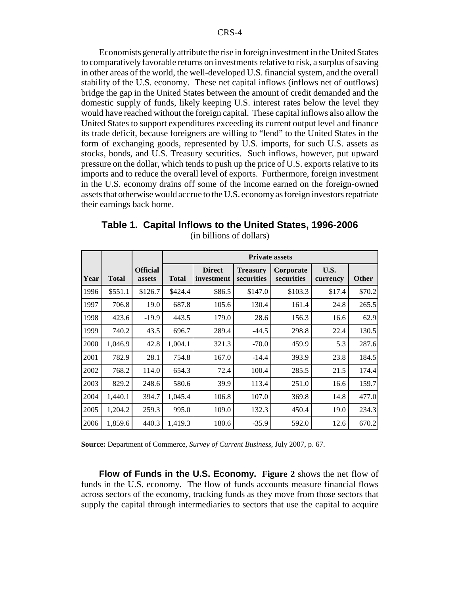Economists generally attribute the rise in foreign investment in the United States to comparatively favorable returns on investments relative to risk, a surplus of saving in other areas of the world, the well-developed U.S. financial system, and the overall stability of the U.S. economy. These net capital inflows (inflows net of outflows) bridge the gap in the United States between the amount of credit demanded and the domestic supply of funds, likely keeping U.S. interest rates below the level they would have reached without the foreign capital. These capital inflows also allow the United States to support expenditures exceeding its current output level and finance its trade deficit, because foreigners are willing to "lend" to the United States in the form of exchanging goods, represented by U.S. imports, for such U.S. assets as stocks, bonds, and U.S. Treasury securities. Such inflows, however, put upward pressure on the dollar, which tends to push up the price of U.S. exports relative to its imports and to reduce the overall level of exports. Furthermore, foreign investment in the U.S. economy drains off some of the income earned on the foreign-owned assets that otherwise would accrue to the U.S. economy as foreign investors repatriate their earnings back home.

|      |              |                           | <b>Private assets</b> |                             |                               |                         |                  |              |
|------|--------------|---------------------------|-----------------------|-----------------------------|-------------------------------|-------------------------|------------------|--------------|
| Year | <b>Total</b> | <b>Official</b><br>assets | <b>Total</b>          | <b>Direct</b><br>investment | <b>Treasury</b><br>securities | Corporate<br>securities | U.S.<br>currency | <b>Other</b> |
| 1996 | \$551.1      | \$126.7                   | \$424.4               | \$86.5                      | \$147.0                       | \$103.3                 | \$17.4           | \$70.2       |
| 1997 | 706.8        | 19.0                      | 687.8                 | 105.6                       | 130.4                         | 161.4                   | 24.8             | 265.5        |
| 1998 | 423.6        | $-19.9$                   | 443.5                 | 179.0                       | 28.6                          | 156.3                   | 16.6             | 62.9         |
| 1999 | 740.2        | 43.5                      | 696.7                 | 289.4                       | $-44.5$                       | 298.8                   | 22.4             | 130.5        |
| 2000 | 1,046.9      | 42.8                      | 1,004.1               | 321.3                       | $-70.0$                       | 459.9                   | 5.3              | 287.6        |
| 2001 | 782.9        | 28.1                      | 754.8                 | 167.0                       | $-14.4$                       | 393.9                   | 23.8             | 184.5        |
| 2002 | 768.2        | 114.0                     | 654.3                 | 72.4                        | 100.4                         | 285.5                   | 21.5             | 174.4        |
| 2003 | 829.2        | 248.6                     | 580.6                 | 39.9                        | 113.4                         | 251.0                   | 16.6             | 159.7        |
| 2004 | 1,440.1      | 394.7                     | 1,045.4               | 106.8                       | 107.0                         | 369.8                   | 14.8             | 477.0        |
| 2005 | 1,204.2      | 259.3                     | 995.0                 | 109.0                       | 132.3                         | 450.4                   | 19.0             | 234.3        |
| 2006 | 1,859.6      | 440.3                     | 1,419.3               | 180.6                       | $-35.9$                       | 592.0                   | 12.6             | 670.2        |

**Table 1. Capital Inflows to the United States, 1996-2006** (in billions of dollars)

**Source:** Department of Commerce, *Survey of Current Business*, July 2007, p. 67.

**Flow of Funds in the U.S. Economy. Figure 2** shows the net flow of funds in the U.S. economy. The flow of funds accounts measure financial flows across sectors of the economy, tracking funds as they move from those sectors that supply the capital through intermediaries to sectors that use the capital to acquire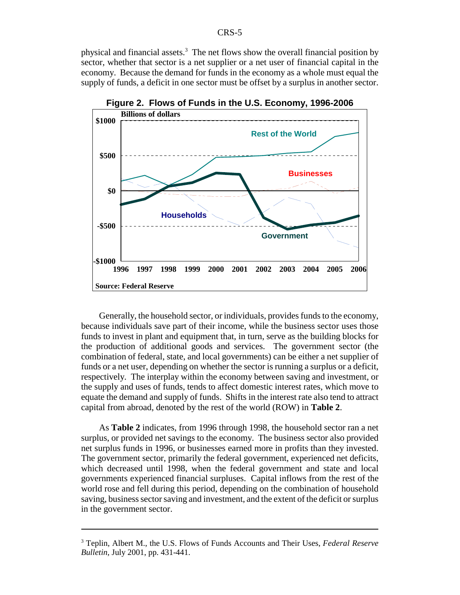physical and financial assets.<sup>3</sup> The net flows show the overall financial position by sector, whether that sector is a net supplier or a net user of financial capital in the economy. Because the demand for funds in the economy as a whole must equal the supply of funds, a deficit in one sector must be offset by a surplus in another sector.



**Figure 2. Flows of Funds in the U.S. Economy, 1996-2006**

Generally, the household sector, or individuals, provides funds to the economy, because individuals save part of their income, while the business sector uses those funds to invest in plant and equipment that, in turn, serve as the building blocks for the production of additional goods and services. The government sector (the combination of federal, state, and local governments) can be either a net supplier of funds or a net user, depending on whether the sector is running a surplus or a deficit, respectively. The interplay within the economy between saving and investment, or the supply and uses of funds, tends to affect domestic interest rates, which move to equate the demand and supply of funds. Shifts in the interest rate also tend to attract capital from abroad, denoted by the rest of the world (ROW) in **Table 2**.

As **Table 2** indicates, from 1996 through 1998, the household sector ran a net surplus, or provided net savings to the economy. The business sector also provided net surplus funds in 1996, or businesses earned more in profits than they invested. The government sector, primarily the federal government, experienced net deficits, which decreased until 1998, when the federal government and state and local governments experienced financial surpluses. Capital inflows from the rest of the world rose and fell during this period, depending on the combination of household saving, business sector saving and investment, and the extent of the deficit or surplus in the government sector.

<sup>3</sup> Teplin, Albert M., the U.S. Flows of Funds Accounts and Their Uses, *Federal Reserve Bulletin*, July 2001, pp. 431-441.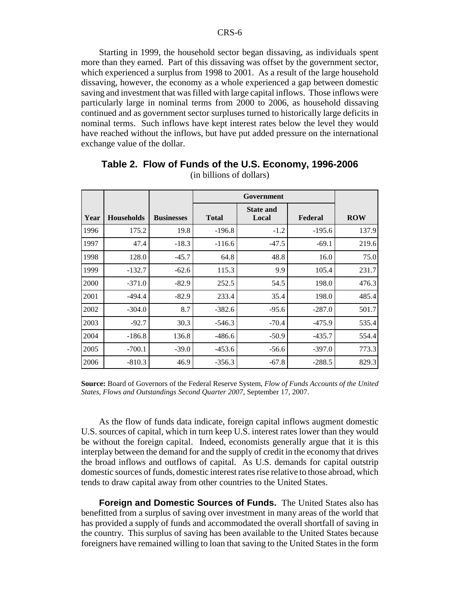Starting in 1999, the household sector began dissaving, as individuals spent more than they earned. Part of this dissaving was offset by the government sector, which experienced a surplus from 1998 to 2001. As a result of the large household dissaving, however, the economy as a whole experienced a gap between domestic saving and investment that was filled with large capital inflows. Those inflows were particularly large in nominal terms from 2000 to 2006, as household dissaving continued and as government sector surpluses turned to historically large deficits in nominal terms. Such inflows have kept interest rates below the level they would have reached without the inflows, but have put added pressure on the international exchange value of the dollar.

| Year | <b>Households</b> | <b>Businesses</b> | <b>State and</b><br><b>Total</b><br>Federal<br>Local |         |          | <b>ROW</b> |
|------|-------------------|-------------------|------------------------------------------------------|---------|----------|------------|
| 1996 | 175.2             | 19.8              | $-196.8$                                             | $-1.2$  | $-195.6$ | 137.9      |
| 1997 | 47.4              | $-18.3$           | $-116.6$                                             | $-47.5$ | $-69.1$  | 219.6      |
| 1998 | 128.0             | $-45.7$           | 64.8                                                 | 48.8    | 16.0     | 75.0       |
| 1999 | $-132.7$          | $-62.6$           | 115.3                                                | 9.9     | 105.4    | 231.7      |
| 2000 | $-371.0$          | $-82.9$           | 252.5                                                | 54.5    | 198.0    | 476.3      |
| 2001 | $-494.4$          | $-82.9$           | 233.4                                                | 35.4    | 198.0    | 485.4      |
| 2002 | $-304.0$          | 8.7               | $-382.6$                                             | $-95.6$ | $-287.0$ | 501.7      |
| 2003 | $-92.7$           | 30.3              | $-546.3$                                             | $-70.4$ | $-475.9$ | 535.4      |
| 2004 | $-186.8$          | 136.8             | $-486.6$                                             | $-50.9$ | $-435.7$ | 554.4      |
| 2005 | $-700.1$          | $-39.0$           | $-453.6$                                             | $-56.6$ | $-397.0$ | 773.3      |
| 2006 | $-810.3$          | 46.9              | $-356.3$                                             | $-67.8$ | $-288.5$ | 829.3      |

**Table 2. Flow of Funds of the U.S. Economy, 1996-2006** (in billions of dollars)

**Source:** Board of Governors of the Federal Reserve System, *Flow of Funds Accounts of the United States, Flows and Outstandings Second Quarter 2007*, September 17, 2007.

As the flow of funds data indicate, foreign capital inflows augment domestic U.S. sources of capital, which in turn keep U.S. interest rates lower than they would be without the foreign capital. Indeed, economists generally argue that it is this interplay between the demand for and the supply of credit in the economy that drives the broad inflows and outflows of capital. As U.S. demands for capital outstrip domestic sources of funds, domestic interest rates rise relative to those abroad, which tends to draw capital away from other countries to the United States.

**Foreign and Domestic Sources of Funds.** The United States also has benefitted from a surplus of saving over investment in many areas of the world that has provided a supply of funds and accommodated the overall shortfall of saving in the country. This surplus of saving has been available to the United States because foreigners have remained willing to loan that saving to the United States in the form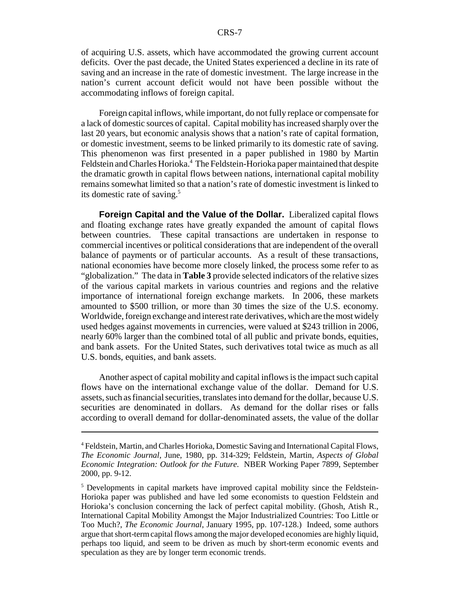of acquiring U.S. assets, which have accommodated the growing current account deficits. Over the past decade, the United States experienced a decline in its rate of saving and an increase in the rate of domestic investment. The large increase in the nation's current account deficit would not have been possible without the accommodating inflows of foreign capital.

Foreign capital inflows, while important, do not fully replace or compensate for a lack of domestic sources of capital. Capital mobility has increased sharply over the last 20 years, but economic analysis shows that a nation's rate of capital formation, or domestic investment, seems to be linked primarily to its domestic rate of saving. This phenomenon was first presented in a paper published in 1980 by Martin Feldstein and Charles Horioka.<sup>4</sup> The Feldstein-Horioka paper maintained that despite the dramatic growth in capital flows between nations, international capital mobility remains somewhat limited so that a nation's rate of domestic investment is linked to its domestic rate of saving.<sup>5</sup>

**Foreign Capital and the Value of the Dollar.** Liberalized capital flows and floating exchange rates have greatly expanded the amount of capital flows between countries. These capital transactions are undertaken in response to commercial incentives or political considerations that are independent of the overall balance of payments or of particular accounts. As a result of these transactions, national economies have become more closely linked, the process some refer to as "globalization." The data in **Table 3** provide selected indicators of the relative sizes of the various capital markets in various countries and regions and the relative importance of international foreign exchange markets. In 2006, these markets amounted to \$500 trillion, or more than 30 times the size of the U.S. economy. Worldwide, foreign exchange and interest rate derivatives, which are the most widely used hedges against movements in currencies, were valued at \$243 trillion in 2006, nearly 60% larger than the combined total of all public and private bonds, equities, and bank assets. For the United States, such derivatives total twice as much as all U.S. bonds, equities, and bank assets.

Another aspect of capital mobility and capital inflows is the impact such capital flows have on the international exchange value of the dollar. Demand for U.S. assets, such as financial securities, translates into demand for the dollar, because U.S. securities are denominated in dollars. As demand for the dollar rises or falls according to overall demand for dollar-denominated assets, the value of the dollar

<sup>&</sup>lt;sup>4</sup> Feldstein, Martin, and Charles Horioka, Domestic Saving and International Capital Flows, *The Economic Journal*, June, 1980, pp. 314-329; Feldstein, Martin, *Aspects of Global Economic Integration: Outlook for the Future*. NBER Working Paper 7899, September 2000, pp. 9-12.

<sup>&</sup>lt;sup>5</sup> Developments in capital markets have improved capital mobility since the Feldstein-Horioka paper was published and have led some economists to question Feldstein and Horioka's conclusion concerning the lack of perfect capital mobility. (Ghosh, Atish R., International Capital Mobility Amongst the Major Industrialized Countries: Too Little or Too Much?, *The Economic Journal*, January 1995, pp. 107-128.) Indeed, some authors argue that short-term capital flows among the major developed economies are highly liquid, perhaps too liquid, and seem to be driven as much by short-term economic events and speculation as they are by longer term economic trends.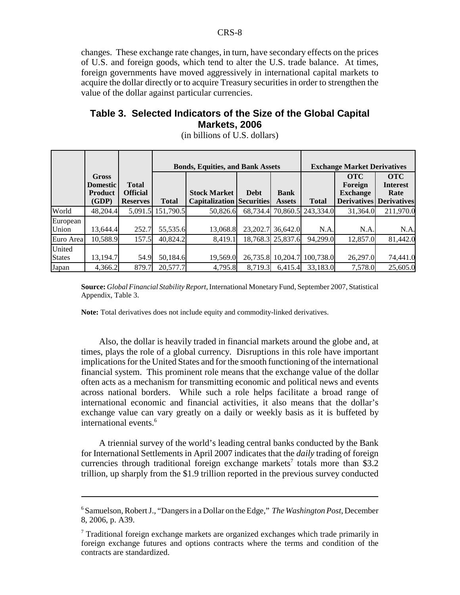changes. These exchange rate changes, in turn, have secondary effects on the prices of U.S. and foreign goods, which tend to alter the U.S. trade balance. At times, foreign governments have moved aggressively in international capital markets to acquire the dollar directly or to acquire Treasury securities in order to strengthen the value of the dollar against particular currencies.

### **Table 3. Selected Indicators of the Size of the Global Capital Markets, 2006**

|                         |                                                     |                                                    |              | <b>Exchange Market Derivatives</b><br><b>Bonds, Equities, and Bank Assets</b> |             |                              |                             |                                                                |                                                             |
|-------------------------|-----------------------------------------------------|----------------------------------------------------|--------------|-------------------------------------------------------------------------------|-------------|------------------------------|-----------------------------|----------------------------------------------------------------|-------------------------------------------------------------|
|                         | Gross<br><b>Domestic</b><br><b>Product</b><br>(GDP) | <b>Total</b><br><b>Official</b><br><b>Reserves</b> | <b>Total</b> | <b>Stock Market</b><br><b>Capitalization Securities</b>                       | <b>Debt</b> | <b>Bank</b><br><b>Assets</b> | <b>Total</b>                | <b>OTC</b><br>Foreign<br><b>Exchange</b><br><b>Derivatives</b> | <b>OTC</b><br><b>Interest</b><br>Rate<br><b>Derivatives</b> |
| World                   | 48,204.4                                            | 5,091.5                                            | 151,790.5    | 50.826.6                                                                      |             |                              | 68,734.4 70,860.5 243,334.0 | 31.364.0                                                       | 211,970.0                                                   |
| European<br>Union       | 13,644.4                                            | 252.7                                              | 55,535.6     | 13,068.8                                                                      |             | 23, 202. 7 36, 642. 0        | N.A.                        | N.A.                                                           | N.A.                                                        |
| Euro Area               | 10,588.9                                            | 157.5                                              | 40,824.2     | 8.419.1                                                                       |             | 18,768.3 25,837.6            | 94.299.0                    | 12,857.0                                                       | 81,442.0                                                    |
| United<br><b>States</b> | 13,194.7                                            | 54.9                                               | 50,184.6     | 19.569.0                                                                      | 26,735.8    | 10,204.7                     | 100,738.0                   | 26,297.0                                                       | 74,441.0                                                    |
| Japan                   | 4,366.2                                             | 879.7                                              | 20,577.7     | 4.795.8                                                                       | 8.719.3     | 6.415.4                      | 33.183.0                    | 7,578.0                                                        | 25,605.0                                                    |

(in billions of U.S. dollars)

**Source:** *Global Financial Stability Report*, International Monetary Fund, September 2007, Statistical Appendix, Table 3.

**Note:** Total derivatives does not include equity and commodity-linked derivatives.

Also, the dollar is heavily traded in financial markets around the globe and, at times, plays the role of a global currency. Disruptions in this role have important implications for the United States and for the smooth functioning of the international financial system. This prominent role means that the exchange value of the dollar often acts as a mechanism for transmitting economic and political news and events across national borders. While such a role helps facilitate a broad range of international economic and financial activities, it also means that the dollar's exchange value can vary greatly on a daily or weekly basis as it is buffeted by international events.<sup>6</sup>

A triennial survey of the world's leading central banks conducted by the Bank for International Settlements in April 2007 indicates that the *daily* trading of foreign currencies through traditional foreign exchange markets<sup>7</sup> totals more than \$3.2 trillion, up sharply from the \$1.9 trillion reported in the previous survey conducted

<sup>6</sup> Samuelson, Robert J., "Dangers in a Dollar on the Edge," *The Washington Post*, December 8, 2006, p. A39.

<sup>&</sup>lt;sup>7</sup> Traditional foreign exchange markets are organized exchanges which trade primarily in foreign exchange futures and options contracts where the terms and condition of the contracts are standardized.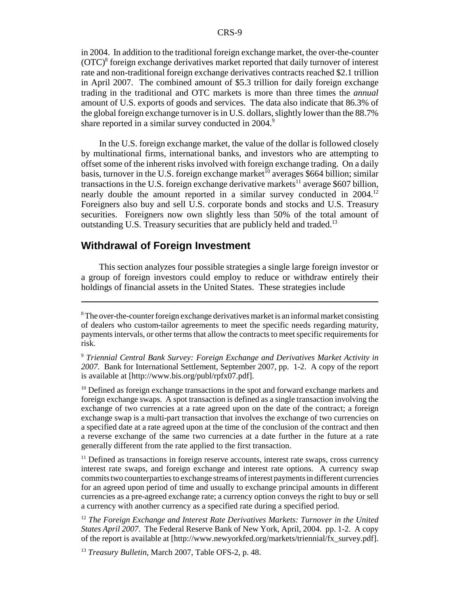in 2004. In addition to the traditional foreign exchange market, the over-the-counter (OTC)<sup>8</sup> foreign exchange derivatives market reported that daily turnover of interest rate and non-traditional foreign exchange derivatives contracts reached \$2.1 trillion in April 2007. The combined amount of \$5.3 trillion for daily foreign exchange trading in the traditional and OTC markets is more than three times the *annual* amount of U.S. exports of goods and services. The data also indicate that 86.3% of the global foreign exchange turnover is in U.S. dollars, slightly lower than the 88.7% share reported in a similar survey conducted in 2004.<sup>9</sup>

In the U.S. foreign exchange market, the value of the dollar is followed closely by multinational firms, international banks, and investors who are attempting to offset some of the inherent risks involved with foreign exchange trading. On a daily basis, turnover in the U.S. foreign exchange market<sup>10</sup> averages \$664 billion; similar transactions in the U.S. foreign exchange derivative markets<sup>11</sup> average \$607 billion, nearly double the amount reported in a similar survey conducted in 2004.<sup>12</sup> Foreigners also buy and sell U.S. corporate bonds and stocks and U.S. Treasury securities. Foreigners now own slightly less than 50% of the total amount of outstanding U.S. Treasury securities that are publicly held and traded.<sup>13</sup>

#### **Withdrawal of Foreign Investment**

This section analyzes four possible strategies a single large foreign investor or a group of foreign investors could employ to reduce or withdraw entirely their holdings of financial assets in the United States. These strategies include

<sup>10</sup> Defined as foreign exchange transactions in the spot and forward exchange markets and foreign exchange swaps. A spot transaction is defined as a single transaction involving the exchange of two currencies at a rate agreed upon on the date of the contract; a foreign exchange swap is a multi-part transaction that involves the exchange of two currencies on a specified date at a rate agreed upon at the time of the conclusion of the contract and then a reverse exchange of the same two currencies at a date further in the future at a rate generally different from the rate applied to the first transaction.

<sup>11</sup> Defined as transactions in foreign reserve accounts, interest rate swaps, cross currency interest rate swaps, and foreign exchange and interest rate options. A currency swap commits two counterparties to exchange streams of interest payments in different currencies for an agreed upon period of time and usually to exchange principal amounts in different currencies as a pre-agreed exchange rate; a currency option conveys the right to buy or sell a currency with another currency as a specified rate during a specified period.

<sup>12</sup> The Foreign Exchange and Interest Rate Derivatives Markets: Turnover in the United *States April 2007*. The Federal Reserve Bank of New York, April, 2004. pp. 1-2. A copy of the report is available at [http://www.newyorkfed.org/markets/triennial/fx\_survey.pdf].

<sup>13</sup> *Treasury Bulletin*, March 2007, Table OFS-2, p. 48.

 $8$ The over-the-counter foreign exchange derivatives market is an informal market consisting of dealers who custom-tailor agreements to meet the specific needs regarding maturity, payments intervals, or other terms that allow the contracts to meet specific requirements for risk.

<sup>9</sup> *Triennial Central Bank Survey: Foreign Exchange and Derivatives Market Activity in 2007*. Bank for International Settlement, September 2007, pp. 1-2. A copy of the report is available at [http://www.bis.org/publ/rpfx07.pdf].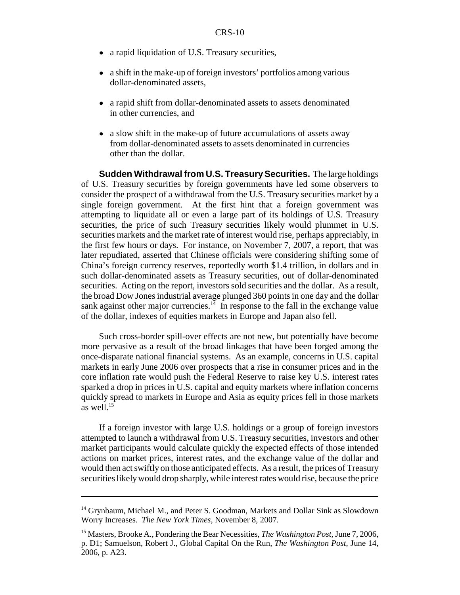- a rapid liquidation of U.S. Treasury securities,
- a shift in the make-up of foreign investors' portfolios among various dollar-denominated assets,
- a rapid shift from dollar-denominated assets to assets denominated in other currencies, and
- a slow shift in the make-up of future accumulations of assets away from dollar-denominated assets to assets denominated in currencies other than the dollar.

**Sudden Withdrawal from U.S. Treasury Securities.** The large holdings of U.S. Treasury securities by foreign governments have led some observers to consider the prospect of a withdrawal from the U.S. Treasury securities market by a single foreign government. At the first hint that a foreign government was attempting to liquidate all or even a large part of its holdings of U.S. Treasury securities, the price of such Treasury securities likely would plummet in U.S. securities markets and the market rate of interest would rise, perhaps appreciably, in the first few hours or days. For instance, on November 7, 2007, a report, that was later repudiated, asserted that Chinese officials were considering shifting some of China's foreign currency reserves, reportedly worth \$1.4 trillion, in dollars and in such dollar-denominated assets as Treasury securities, out of dollar-denominated securities. Acting on the report, investors sold securities and the dollar. As a result, the broad Dow Jones industrial average plunged 360 points in one day and the dollar sank against other major currencies.<sup>14</sup> In response to the fall in the exchange value of the dollar, indexes of equities markets in Europe and Japan also fell.

Such cross-border spill-over effects are not new, but potentially have become more pervasive as a result of the broad linkages that have been forged among the once-disparate national financial systems. As an example, concerns in U.S. capital markets in early June 2006 over prospects that a rise in consumer prices and in the core inflation rate would push the Federal Reserve to raise key U.S. interest rates sparked a drop in prices in U.S. capital and equity markets where inflation concerns quickly spread to markets in Europe and Asia as equity prices fell in those markets as well. $15$ 

If a foreign investor with large U.S. holdings or a group of foreign investors attempted to launch a withdrawal from U.S. Treasury securities, investors and other market participants would calculate quickly the expected effects of those intended actions on market prices, interest rates, and the exchange value of the dollar and would then act swiftly on those anticipated effects. As a result, the prices of Treasury securities likely would drop sharply, while interest rates would rise, because the price

<sup>&</sup>lt;sup>14</sup> Grynbaum, Michael M., and Peter S. Goodman, Markets and Dollar Sink as Slowdown Worry Increases. *The New York Times*, November 8, 2007.

<sup>15</sup> Masters, Brooke A., Pondering the Bear Necessities, *The Washington Post*, June 7, 2006, p. D1; Samuelson, Robert J., Global Capital On the Run, *The Washington Post*, June 14, 2006, p. A23.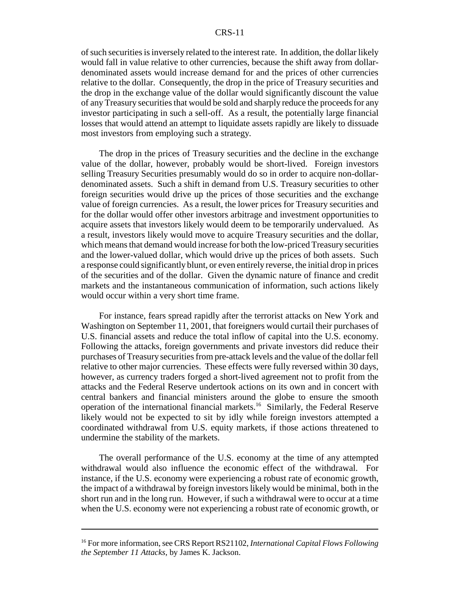#### CRS-11

of such securities is inversely related to the interest rate. In addition, the dollar likely would fall in value relative to other currencies, because the shift away from dollardenominated assets would increase demand for and the prices of other currencies relative to the dollar. Consequently, the drop in the price of Treasury securities and the drop in the exchange value of the dollar would significantly discount the value of any Treasury securities that would be sold and sharply reduce the proceeds for any investor participating in such a sell-off. As a result, the potentially large financial losses that would attend an attempt to liquidate assets rapidly are likely to dissuade most investors from employing such a strategy.

The drop in the prices of Treasury securities and the decline in the exchange value of the dollar, however, probably would be short-lived. Foreign investors selling Treasury Securities presumably would do so in order to acquire non-dollardenominated assets. Such a shift in demand from U.S. Treasury securities to other foreign securities would drive up the prices of those securities and the exchange value of foreign currencies. As a result, the lower prices for Treasury securities and for the dollar would offer other investors arbitrage and investment opportunities to acquire assets that investors likely would deem to be temporarily undervalued. As a result, investors likely would move to acquire Treasury securities and the dollar, which means that demand would increase for both the low-priced Treasury securities and the lower-valued dollar, which would drive up the prices of both assets. Such a response could significantly blunt, or even entirely reverse, the initial drop in prices of the securities and of the dollar. Given the dynamic nature of finance and credit markets and the instantaneous communication of information, such actions likely would occur within a very short time frame.

For instance, fears spread rapidly after the terrorist attacks on New York and Washington on September 11, 2001, that foreigners would curtail their purchases of U.S. financial assets and reduce the total inflow of capital into the U.S. economy. Following the attacks, foreign governments and private investors did reduce their purchases of Treasury securities from pre-attack levels and the value of the dollar fell relative to other major currencies. These effects were fully reversed within 30 days, however, as currency traders forged a short-lived agreement not to profit from the attacks and the Federal Reserve undertook actions on its own and in concert with central bankers and financial ministers around the globe to ensure the smooth operation of the international financial markets.<sup>16</sup> Similarly, the Federal Reserve likely would not be expected to sit by idly while foreign investors attempted a coordinated withdrawal from U.S. equity markets, if those actions threatened to undermine the stability of the markets.

The overall performance of the U.S. economy at the time of any attempted withdrawal would also influence the economic effect of the withdrawal. For instance, if the U.S. economy were experiencing a robust rate of economic growth, the impact of a withdrawal by foreign investors likely would be minimal, both in the short run and in the long run. However, if such a withdrawal were to occur at a time when the U.S. economy were not experiencing a robust rate of economic growth, or

<sup>16</sup> For more information, see CRS Report RS21102, *International Capital Flows Following the September 11 Attacks*, by James K. Jackson.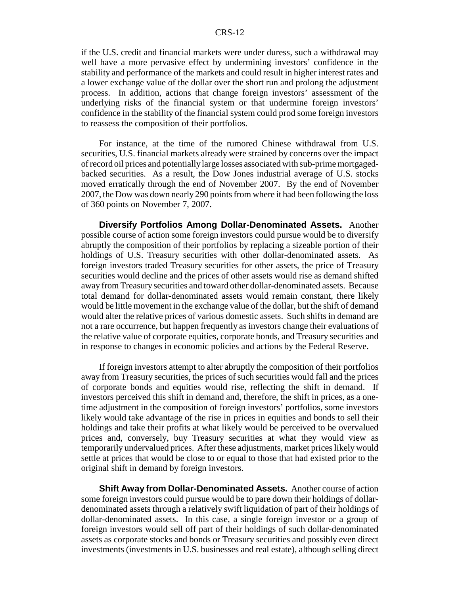if the U.S. credit and financial markets were under duress, such a withdrawal may well have a more pervasive effect by undermining investors' confidence in the stability and performance of the markets and could result in higher interest rates and a lower exchange value of the dollar over the short run and prolong the adjustment process. In addition, actions that change foreign investors' assessment of the underlying risks of the financial system or that undermine foreign investors' confidence in the stability of the financial system could prod some foreign investors to reassess the composition of their portfolios.

For instance, at the time of the rumored Chinese withdrawal from U.S. securities, U.S. financial markets already were strained by concerns over the impact of record oil prices and potentially large losses associated with sub-prime mortgagedbacked securities. As a result, the Dow Jones industrial average of U.S. stocks moved erratically through the end of November 2007. By the end of November 2007, the Dow was down nearly 290 points from where it had been following the loss of 360 points on November 7, 2007.

**Diversify Portfolios Among Dollar-Denominated Assets.** Another possible course of action some foreign investors could pursue would be to diversify abruptly the composition of their portfolios by replacing a sizeable portion of their holdings of U.S. Treasury securities with other dollar-denominated assets. As foreign investors traded Treasury securities for other assets, the price of Treasury securities would decline and the prices of other assets would rise as demand shifted away from Treasury securities and toward other dollar-denominated assets. Because total demand for dollar-denominated assets would remain constant, there likely would be little movement in the exchange value of the dollar, but the shift of demand would alter the relative prices of various domestic assets. Such shifts in demand are not a rare occurrence, but happen frequently as investors change their evaluations of the relative value of corporate equities, corporate bonds, and Treasury securities and in response to changes in economic policies and actions by the Federal Reserve.

If foreign investors attempt to alter abruptly the composition of their portfolios away from Treasury securities, the prices of such securities would fall and the prices of corporate bonds and equities would rise, reflecting the shift in demand. If investors perceived this shift in demand and, therefore, the shift in prices, as a onetime adjustment in the composition of foreign investors' portfolios, some investors likely would take advantage of the rise in prices in equities and bonds to sell their holdings and take their profits at what likely would be perceived to be overvalued prices and, conversely, buy Treasury securities at what they would view as temporarily undervalued prices. After these adjustments, market prices likely would settle at prices that would be close to or equal to those that had existed prior to the original shift in demand by foreign investors.

**Shift Away from Dollar-Denominated Assets.** Another course of action some foreign investors could pursue would be to pare down their holdings of dollardenominated assets through a relatively swift liquidation of part of their holdings of dollar-denominated assets. In this case, a single foreign investor or a group of foreign investors would sell off part of their holdings of such dollar-denominated assets as corporate stocks and bonds or Treasury securities and possibly even direct investments (investments in U.S. businesses and real estate), although selling direct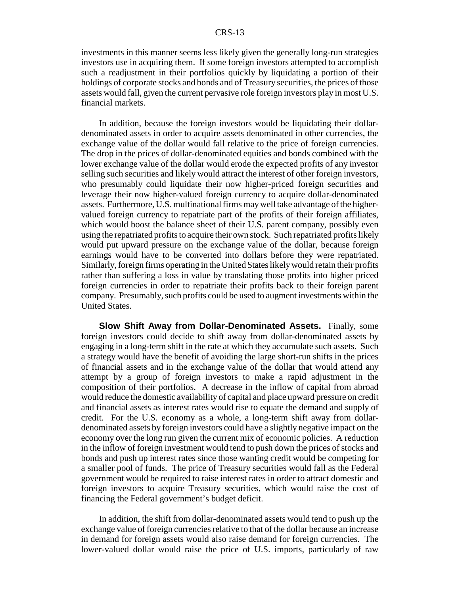investments in this manner seems less likely given the generally long-run strategies investors use in acquiring them. If some foreign investors attempted to accomplish such a readjustment in their portfolios quickly by liquidating a portion of their holdings of corporate stocks and bonds and of Treasury securities, the prices of those assets would fall, given the current pervasive role foreign investors play in most U.S. financial markets.

In addition, because the foreign investors would be liquidating their dollardenominated assets in order to acquire assets denominated in other currencies, the exchange value of the dollar would fall relative to the price of foreign currencies. The drop in the prices of dollar-denominated equities and bonds combined with the lower exchange value of the dollar would erode the expected profits of any investor selling such securities and likely would attract the interest of other foreign investors, who presumably could liquidate their now higher-priced foreign securities and leverage their now higher-valued foreign currency to acquire dollar-denominated assets. Furthermore, U.S. multinational firms may well take advantage of the highervalued foreign currency to repatriate part of the profits of their foreign affiliates, which would boost the balance sheet of their U.S. parent company, possibly even using the repatriated profits to acquire their own stock. Such repatriated profits likely would put upward pressure on the exchange value of the dollar, because foreign earnings would have to be converted into dollars before they were repatriated. Similarly, foreign firms operating in the United States likely would retain their profits rather than suffering a loss in value by translating those profits into higher priced foreign currencies in order to repatriate their profits back to their foreign parent company. Presumably, such profits could be used to augment investments within the United States.

**Slow Shift Away from Dollar-Denominated Assets.** Finally, some foreign investors could decide to shift away from dollar-denominated assets by engaging in a long-term shift in the rate at which they accumulate such assets. Such a strategy would have the benefit of avoiding the large short-run shifts in the prices of financial assets and in the exchange value of the dollar that would attend any attempt by a group of foreign investors to make a rapid adjustment in the composition of their portfolios. A decrease in the inflow of capital from abroad would reduce the domestic availability of capital and place upward pressure on credit and financial assets as interest rates would rise to equate the demand and supply of credit. For the U.S. economy as a whole, a long-term shift away from dollardenominated assets by foreign investors could have a slightly negative impact on the economy over the long run given the current mix of economic policies. A reduction in the inflow of foreign investment would tend to push down the prices of stocks and bonds and push up interest rates since those wanting credit would be competing for a smaller pool of funds. The price of Treasury securities would fall as the Federal government would be required to raise interest rates in order to attract domestic and foreign investors to acquire Treasury securities, which would raise the cost of financing the Federal government's budget deficit.

In addition, the shift from dollar-denominated assets would tend to push up the exchange value of foreign currencies relative to that of the dollar because an increase in demand for foreign assets would also raise demand for foreign currencies. The lower-valued dollar would raise the price of U.S. imports, particularly of raw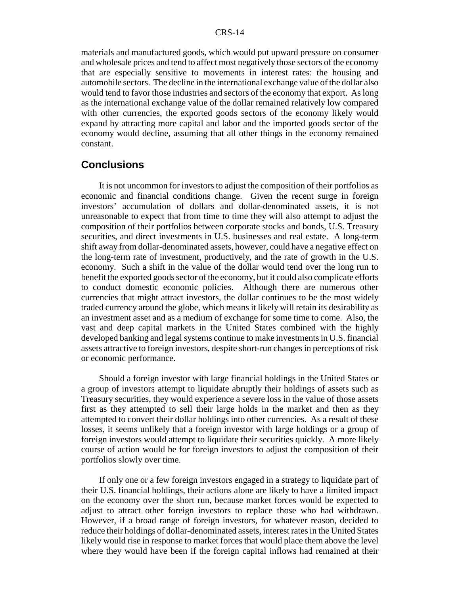materials and manufactured goods, which would put upward pressure on consumer and wholesale prices and tend to affect most negatively those sectors of the economy that are especially sensitive to movements in interest rates: the housing and automobile sectors. The decline in the international exchange value of the dollar also would tend to favor those industries and sectors of the economy that export. As long as the international exchange value of the dollar remained relatively low compared with other currencies, the exported goods sectors of the economy likely would expand by attracting more capital and labor and the imported goods sector of the economy would decline, assuming that all other things in the economy remained constant.

### **Conclusions**

It is not uncommon for investors to adjust the composition of their portfolios as economic and financial conditions change. Given the recent surge in foreign investors' accumulation of dollars and dollar-denominated assets, it is not unreasonable to expect that from time to time they will also attempt to adjust the composition of their portfolios between corporate stocks and bonds, U.S. Treasury securities, and direct investments in U.S. businesses and real estate. A long-term shift away from dollar-denominated assets, however, could have a negative effect on the long-term rate of investment, productively, and the rate of growth in the U.S. economy. Such a shift in the value of the dollar would tend over the long run to benefit the exported goods sector of the economy, but it could also complicate efforts to conduct domestic economic policies. Although there are numerous other currencies that might attract investors, the dollar continues to be the most widely traded currency around the globe, which means it likely will retain its desirability as an investment asset and as a medium of exchange for some time to come. Also, the vast and deep capital markets in the United States combined with the highly developed banking and legal systems continue to make investments in U.S. financial assets attractive to foreign investors, despite short-run changes in perceptions of risk or economic performance.

Should a foreign investor with large financial holdings in the United States or a group of investors attempt to liquidate abruptly their holdings of assets such as Treasury securities, they would experience a severe loss in the value of those assets first as they attempted to sell their large holds in the market and then as they attempted to convert their dollar holdings into other currencies. As a result of these losses, it seems unlikely that a foreign investor with large holdings or a group of foreign investors would attempt to liquidate their securities quickly. A more likely course of action would be for foreign investors to adjust the composition of their portfolios slowly over time.

If only one or a few foreign investors engaged in a strategy to liquidate part of their U.S. financial holdings, their actions alone are likely to have a limited impact on the economy over the short run, because market forces would be expected to adjust to attract other foreign investors to replace those who had withdrawn. However, if a broad range of foreign investors, for whatever reason, decided to reduce their holdings of dollar-denominated assets, interest rates in the United States likely would rise in response to market forces that would place them above the level where they would have been if the foreign capital inflows had remained at their